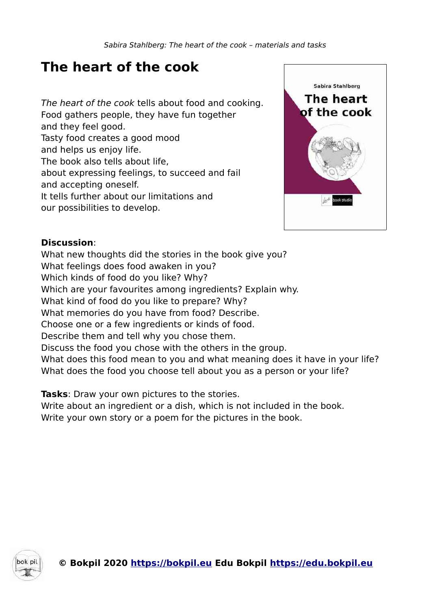# **The heart of the cook**

The heart of the cook tells about food and cooking. Food gathers people, they have fun together and they feel good. Tasty food creates a good mood and helps us enjoy life. The book also tells about life, about expressing feelings, to succeed and fail and accepting oneself. It tells further about our limitations and our possibilities to develop.



#### **Discussion**:

What new thoughts did the stories in the book give you? What feelings does food awaken in you? Which kinds of food do you like? Why? Which are your favourites among ingredients? Explain why. What kind of food do you like to prepare? Why? What memories do you have from food? Describe. Choose one or a few ingredients or kinds of food. Describe them and tell why you chose them. Discuss the food you chose with the others in the group. What does this food mean to you and what meaning does it have in your life? What does the food you choose tell about you as a person or your life?

**Tasks**: Draw your own pictures to the stories.

Write about an ingredient or a dish, which is not included in the book. Write your own story or a poem for the pictures in the book.

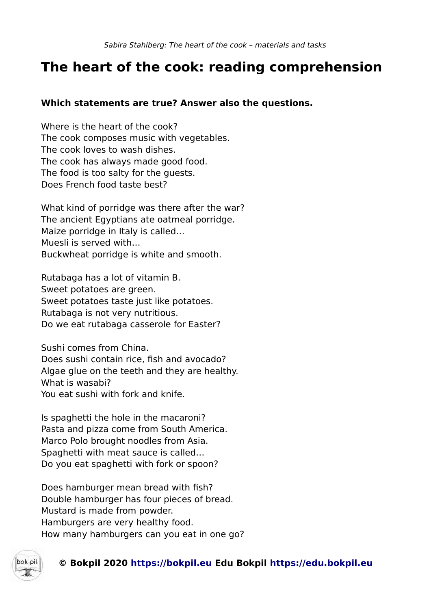## **The heart of the cook: reading comprehension**

#### **Which statements are true? Answer also the questions.**

Where is the heart of the cook? The cook composes music with vegetables. The cook loves to wash dishes. The cook has always made good food. The food is too salty for the guests. Does French food taste best?

What kind of porridge was there after the war? The ancient Egyptians ate oatmeal porridge. Maize porridge in Italy is called… Muesli is served with… Buckwheat porridge is white and smooth.

Rutabaga has a lot of vitamin B. Sweet potatoes are green. Sweet potatoes taste just like potatoes. Rutabaga is not very nutritious. Do we eat rutabaga casserole for Easter?

Sushi comes from China. Does sushi contain rice, fish and avocado? Algae glue on the teeth and they are healthy. What is wasabi? You eat sushi with fork and knife.

Is spaghetti the hole in the macaroni? Pasta and pizza come from South America. Marco Polo brought noodles from Asia. Spaghetti with meat sauce is called… Do you eat spaghetti with fork or spoon?

Does hamburger mean bread with fish? Double hamburger has four pieces of bread. Mustard is made from powder. Hamburgers are very healthy food. How many hamburgers can you eat in one go?

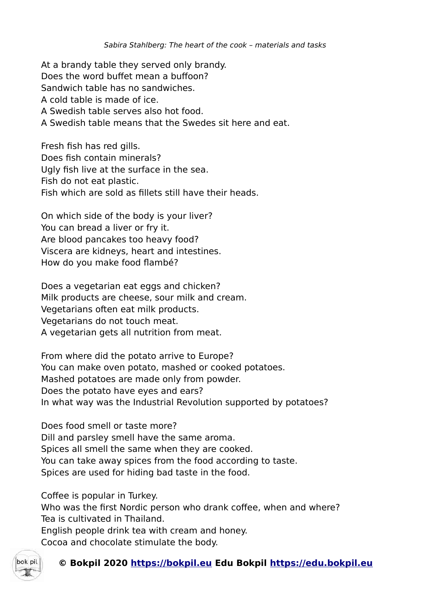At a brandy table they served only brandy. Does the word buffet mean a buffoon? Sandwich table has no sandwiches. A cold table is made of ice. A Swedish table serves also hot food. A Swedish table means that the Swedes sit here and eat.

Fresh fish has red gills. Does fish contain minerals? Ugly fish live at the surface in the sea. Fish do not eat plastic. Fish which are sold as fillets still have their heads.

On which side of the body is your liver? You can bread a liver or fry it. Are blood pancakes too heavy food? Viscera are kidneys, heart and intestines. How do you make food flambé?

Does a vegetarian eat eggs and chicken? Milk products are cheese, sour milk and cream. Vegetarians often eat milk products. Vegetarians do not touch meat. A vegetarian gets all nutrition from meat.

From where did the potato arrive to Europe? You can make oven potato, mashed or cooked potatoes. Mashed potatoes are made only from powder. Does the potato have eyes and ears? In what way was the Industrial Revolution supported by potatoes?

Does food smell or taste more? Dill and parsley smell have the same aroma. Spices all smell the same when they are cooked. You can take away spices from the food according to taste. Spices are used for hiding bad taste in the food.

Coffee is popular in Turkey.

Who was the first Nordic person who drank coffee, when and where? Tea is cultivated in Thailand. English people drink tea with cream and honey. Cocoa and chocolate stimulate the body.



#### **© Bokpil 2020 https://bokpil.eu Edu Bokpil https://edu.bokpil.eu**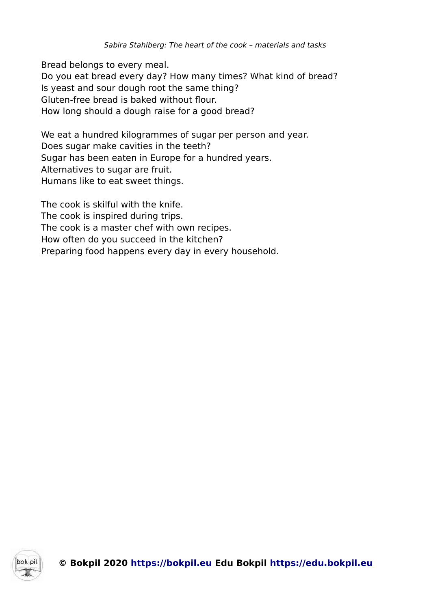Bread belongs to every meal. Do you eat bread every day? How many times? What kind of bread? Is yeast and sour dough root the same thing? Gluten-free bread is baked without flour. How long should a dough raise for a good bread?

We eat a hundred kilogrammes of sugar per person and year. Does sugar make cavities in the teeth? Sugar has been eaten in Europe for a hundred years. Alternatives to sugar are fruit. Humans like to eat sweet things.

The cook is skilful with the knife. The cook is inspired during trips. The cook is a master chef with own recipes. How often do you succeed in the kitchen? Preparing food happens every day in every household.